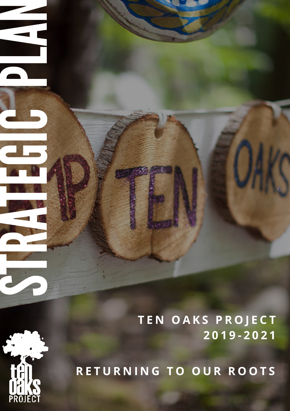**T E N O A K S P R O J E C T 2 0 1 9 - 2 0 2 1**

**R E T U R N I N G T O O U R R O O T S**



S

The Company of the Company of

R

**ANDREW BREEZE** 

TEN DE CAR<br>Trouves 199

**ET S** 

du j

CH<sub>3</sub>

**Participate** 

A

N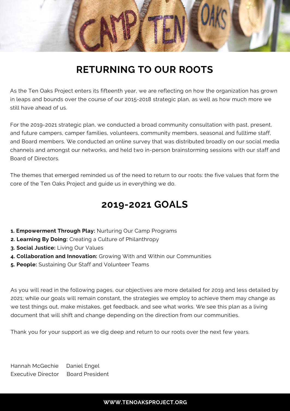

## **RETURNING TO OUR ROOTS**

As the Ten Oaks Project enters its fifteenth year, we are reflecting on how the organization has grown in leaps and bounds over the course of our 2015-2018 strategic plan, as well as how much more we still have ahead of us.

For the 2019-2021 strategic plan, we conducted a broad community consultation with past, present, and future campers, camper families, volunteers, community members, seasonal and fulltime staff, and Board members. We conducted an online survey that was distributed broadly on our social media channels and amongst our networks, and held two in-person brainstorming sessions with our staff and Board of Directors.

The themes that emerged reminded us of the need to return to our roots: the five values that form the core of the Ten Oaks Project and guide us in everything we do.

### **2019-2021 GOALS**

- **1. Empowerment Through Play:** Nurturing Our Camp Programs
- **2. Learning By Doing:** Creating a Culture of Philanthropy
- **3. Social Justice:** Living Our Values
- **4. Collaboration and Innovation:** Growing With and Within our Communities
- **5. People:** Sustaining Our Staff and Volunteer Teams

As you will read in the following pages, our objectives are more detailed for 2019 and less detailed by 2021; while our goals will remain constant, the strategies we employ to achieve them may change as we test things out, make mistakes, get feedback, and see what works. We see this plan as a living document that will shift and change depending on the direction from our communities.

Thank you for your support as we dig deep and return to our roots over the next few years.

Hannah McGechie Daniel Engel Executive Director Board President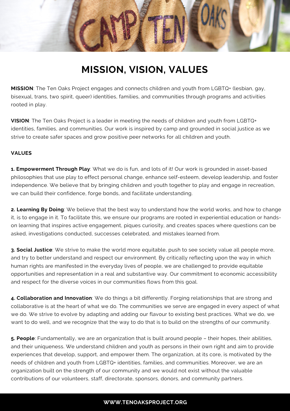

## **MISSION, VISION, VALUES**

**MISSION**: The Ten Oaks Project engages and connects children and youth from LGBTQ+ (lesbian, gay, bisexual, trans, two spirit, queer) identities, families, and communities through programs and activities rooted in play.

**VISION**: The Ten Oaks Project is a leader in meeting the needs of children and youth from LGBTQ+ identities, families, and communities. Our work is inspired by camp and grounded in social justice as we strive to create safer spaces and grow positive peer networks for all children and youth.

### **VALUES**

**1. Empowerment Through Play**: What we do is fun, and lots of it! Our work is grounded in asset-based philosophies that use play to effect personal change, enhance self-esteem, develop leadership, and foster independence. We believe that by bringing children and youth together to play and engage in recreation, we can build their confidence, forge bonds, and facilitate understanding.

**2. Learning By Doing**: We believe that the best way to understand how the world works, and how to change it, is to engage in it. To facilitate this, we ensure our programs are rooted in experiential education or handson learning that inspires active engagement, piques curiosity, and creates spaces where questions can be asked, investigations conducted, successes celebrated, and mistakes learned from.

**3. Social Justice**: We strive to make the world more equitable, push to see society value all people more, and try to better understand and respect our environment. By critically reflecting upon the way in which human rights are manifested in the everyday lives of people, we are challenged to provide equitable opportunities and representation in a real and substantive way. Our commitment to economic accessibility and respect for the diverse voices in our communities flows from this goal.

**4. Collaboration and Innovation**: We do things a bit differently. Forging relationships that are strong and collaborative is at the heart of what we do. The communities we serve are engaged in every aspect of what we do. We strive to evolve by adapting and adding our flavour to existing best practices. What we do, we want to do well, and we recognize that the way to do that is to build on the strengths of our community.

**5. People**: Fundamentally, we are an organization that is built around people – their hopes, their abilities, and their uniqueness. We understand children and youth as persons in their own right and aim to provide experiences that develop, support, and empower them. The organization, at its core, is motivated by the needs of children and youth from LGBTQ+ identities, families, and communities. Moreover, we are an organization built on the strength of our community and we would not exist without the valuable contributions of our volunteers, staff, directorate, sponsors, donors, and community partners.

### **WWW.TENOAKSPROJECT.ORG**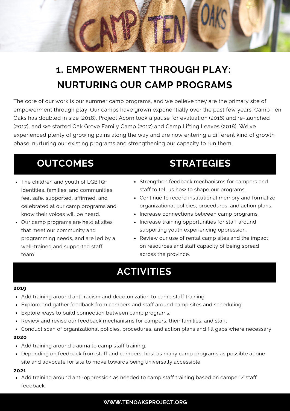

# **1. EMPOWERMENT THROUGH PLAY: NURTURING OUR CAMP PROGRAMS**

The core of our work is our summer camp programs, and we believe they are the primary site of empowerment through play. Our camps have grown exponentially over the past few years: Camp Ten Oaks has doubled in size (2018), Project Acorn took a pause for evaluation (2016) and re-launched (2017), and we started Oak Grove Family Camp (2017) and Camp Lifting Leaves (2018). We've experienced plenty of growing pains along the way and are now entering a different kind of growth phase: nurturing our existing programs and strengthening our capacity to run them.

- The children and youth of LGBTQ+ identities, families, and communities feel safe, supported, affirmed, and celebrated at our camp programs and know their voices will be heard.
- Our camp programs are held at sites that meet our community and programming needs, and are led by a well-trained and supported staff team.

## **OUTCOMES STRATEGIES**

- Strengthen feedback mechanisms for campers and staff to tell us how to shape our programs.
- Continue to record institutional memory and formalize organizational policies, procedures, and action plans.
- Increase connections between camp programs.
- Increase training opportunities for staff around supporting youth experiencing oppression.
- Review our use of rental camp sites and the impact on resources and staff capacity of being spread across the province.

### **ACTIVITIES**

#### **2019**

- Add training around anti-racism and decolonization to camp staff training.
- Explore and gather feedback from campers and staff around camp sites and scheduling.
- Explore ways to build connection between camp programs.
- Review and revise our feedback mechanisms for campers, their families, and staff.
- Conduct scan of organizational policies, procedures, and action plans and fill gaps where necessary.

### **2020**

- Add training around trauma to camp staff training.
- Depending on feedback from staff and campers, host as many camp programs as possible at one site and advocate for site to move towards being universally accessible.

### **2021**

• Add training around anti-oppression as needed to camp staff training based on camper / staff feedback.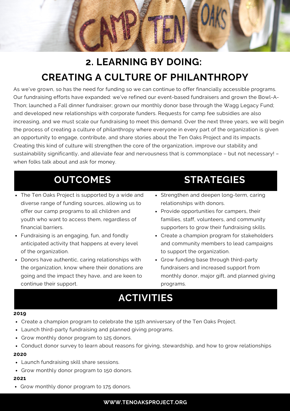

# **2. LEARNING BY DOING: CREATING A CULTURE OF PHILANTHROPY**

As we've grown, so has the need for funding so we can continue to offer financially accessible programs. Our fundraising efforts have expanded: we've refined our event-based fundraisers and grown the Bowl-A-Thon; launched a Fall dinner fundraiser; grown our monthly donor base through the Wagg Legacy Fund; and developed new relationships with corporate funders. Requests for camp fee subsidies are also increasing, and we must scale our fundraising to meet this demand. Over the next three years, we will begin the process of creating a culture of philanthropy where everyone in every part of the organization is given an opportunity to engage, contribute, and share stories about the Ten Oaks Project and its impacts. Creating this kind of culture will strengthen the core of the organization, improve our stability and sustainability significantly, and alleviate fear and nervousness that is commonplace – but not necessary! – when folks talk about and ask for money.

- The Ten Oaks Project is supported by a wide and diverse range of funding sources, allowing us to offer our camp programs to all children and youth who want to access them, regardless of financial barriers.
- Fundraising is an engaging, fun, and fondly anticipated activity that happens at every level of the organization.
- Donors have authentic, caring relationships with the organization, know where their donations are going and the impact they have, and are keen to continue their support.

### **OUTCOMES STRATEGIES**

- Strengthen and deepen long-term, caring relationships with donors.
- Provide opportunities for campers, their families, staff, volunteers, and community supporters to grow their fundraising skills.
- Create a champion program for stakeholders and community members to lead campaigns to support the organization.
- Grow funding base through third-party fundraisers and increased support from monthly donor, major gift, and planned giving programs.

## **ACTIVITIES**

#### **2019**

- Create a champion program to celebrate the 15th anniversary of the Ten Oaks Project.
- Launch third-party fundraising and planned giving programs.
- Grow monthly donor program to 125 donors.
- Conduct donor survey to learn about reasons for giving, stewardship, and how to grow relationships

### **2020**

- Launch fundraising skill share sessions.
- Grow monthly donor program to 150 donors.

#### **2021**

Grow monthly donor program to 175 donors.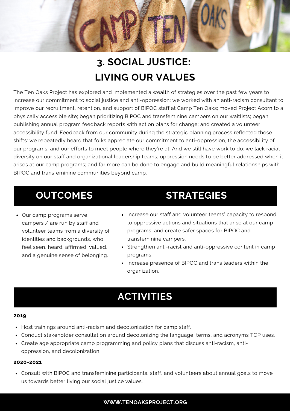

# **3. SOCIAL JUSTICE: LIVING OUR VALUES**

The Ten Oaks Project has explored and implemented a wealth of strategies over the past few years to increase our commitment to social justice and anti-oppression: we worked with an anti-racism consultant to improve our recruitment, retention, and support of BIPOC staff at Camp Ten Oaks; moved Project Acorn to a physically accessible site; began prioritizing BIPOC and transfeminine campers on our waitlists; began publishing annual program feedback reports with action plans for change; and created a volunteer accessibility fund. Feedback from our community during the strategic planning process reflected these shifts: we repeatedly heard that folks appreciate our commitment to anti-oppression, the accessibility of our programs, and our efforts to meet people where they're at. And we still have work to do: we lack racial diversity on our staff and organizational leadership teams; oppression needs to be better addressed when it arises at our camp programs; and far more can be done to engage and build meaningful relationships with BIPOC and transfeminine communities beyond camp.

Our camp programs serve campers / are run by staff and volunteer teams from a diversity of identities and backgrounds, who feel seen, heard, affirmed, valued, and a genuine sense of belonging.

### **OUTCOMES STRATEGIES**

- Increase our staff and volunteer teams' capacity to respond to oppressive actions and situations that arise at our camp programs, and create safer spaces for BIPOC and transfeminine campers.
- Strengthen anti-racist and anti-oppressive content in camp programs.
- Increase presence of BIPOC and trans leaders within the organization.

## **ACTIVITIES**

#### **2019**

- Host trainings around anti-racism and decolonization for camp staff.
- Conduct stakeholder consultation around decolonizing the language, terms, and acronyms TOP uses.
- Create age appropriate camp programming and policy plans that discuss anti-racism, antioppression, and decolonization.

#### **2020-2021**

Consult with BIPOC and transfeminine participants, staff, and volunteers about annual goals to move us towards better living our social justice values.

### **WWW.TENOAKSPROJECT.ORG**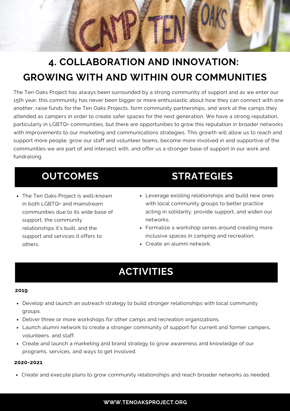

# **4. COLLABORATION AND INNOVATION: GROWING WITH AND WITHIN OUR COMMUNITIES**

The Ten Oaks Project has always been surrounded by a strong community of support and as we enter our 15th year, this community has never been bigger or more enthusiastic about how they can connect with one another, raise funds for the Ten Oaks Projects, form community partnerships, and work at the camps they attended as campers in order to create safer spaces for the next generation. We have a strong reputation, particularly in LGBTQ+ communities, but there are opportunities to grow this reputation in broader networks with improvements to our marketing and communications strategies. This growth will allow us to reach and support more people, grow our staff and volunteer teams, become more involved in and supportive of the communities we are part of and intersect with, and offer us a stronger base of support in our work and fundraising.

The Ten Oaks Project is well-known in both LGBTQ+ and mainstream communities due to its wide base of support, the community relationships it's built, and the support and services it offers to others.

### **OUTCOMES STRATEGIES**

- Leverage existing relationships and build new ones with local community groups to better practice acting in solidarity, provide support, and widen our networks.
- Formalize a workshop series around creating more inclusive spaces in camping and recreation.
- Create an alumni network.

### **ACTIVITIES**

#### **2019**

- Develop and launch an outreach strategy to build stronger relationships with local community groups.
- Deliver three or more workshops for other camps and recreation organizations.
- Launch alumni network to create a stronger community of support for current and former campers, volunteers, and staff.
- Create and launch a marketing and brand strategy to grow awareness and knowledge of our programs, services, and ways to get involved.

#### **2020-2021**

Create and execute plans to grow community relationships and reach broader networks as needed.